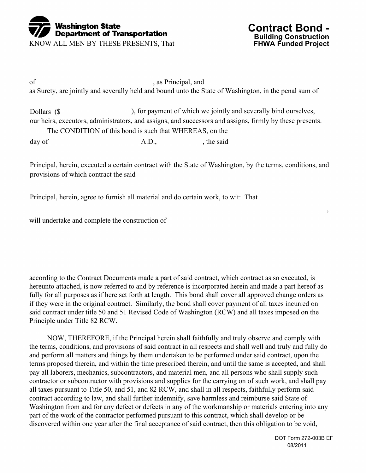

KNOW ALL MEN BY THESE PRESENTS, That



of , as Principal, and as Surety, are jointly and severally held and bound unto the State of Washington, in the penal sum of

Dollars (\$ ), for payment of which we jointly and severally bind ourselves, our heirs, executors, administrators, and assigns, and successors and assigns, firmly by these presents. The CONDITION of this bond is such that WHEREAS, on the day of A.D., the said

Principal, herein, executed a certain contract with the State of Washington, by the terms, conditions, and provisions of which contract the said

Principal, herein, agree to furnish all material and do certain work, to wit: That

will undertake and complete the construction of

according to the Contract Documents made a part of said contract, which contract as so executed, is hereunto attached, is now referred to and by reference is incorporated herein and made a part hereof as fully for all purposes as if here set forth at length. This bond shall cover all approved change orders as if they were in the original contract. Similarly, the bond shall cover payment of all taxes incurred on said contract under title 50 and 51 Revised Code of Washington (RCW) and all taxes imposed on the Principle under Title 82 RCW.

 NOW, THEREFORE, if the Principal herein shall faithfully and truly observe and comply with the terms, conditions, and provisions of said contract in all respects and shall well and truly and fully do and perform all matters and things by them undertaken to be performed under said contract, upon the terms proposed therein, and within the time prescribed therein, and until the same is accepted, and shall pay all laborers, mechanics, subcontractors, and material men, and all persons who shall supply such contractor or subcontractor with provisions and supplies for the carrying on of such work, and shall pay all taxes pursuant to Title 50, and 51, and 82 RCW, and shall in all respects, faithfully perform said contract according to law, and shall further indemnify, save harmless and reimburse said State of Washington from and for any defect or defects in any of the workmanship or materials entering into any part of the work of the contractor performed pursuant to this contract, which shall develop or be discovered within one year after the final acceptance of said contract, then this obligation to be void,

,